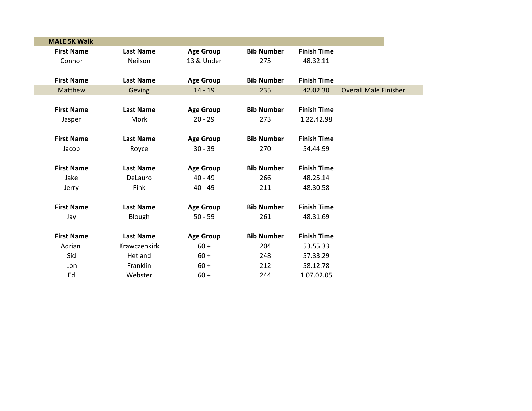| <b>MALE 5K Walk</b> |                  |                  |                   |                    |                              |
|---------------------|------------------|------------------|-------------------|--------------------|------------------------------|
| <b>First Name</b>   | <b>Last Name</b> | <b>Age Group</b> | <b>Bib Number</b> | <b>Finish Time</b> |                              |
| Connor              | Neilson          | 13 & Under       | 275               | 48.32.11           |                              |
|                     |                  |                  |                   |                    |                              |
| <b>First Name</b>   | <b>Last Name</b> | <b>Age Group</b> | <b>Bib Number</b> | <b>Finish Time</b> |                              |
| Matthew             | Geving           | $14 - 19$        | 235               | 42.02.30           | <b>Overall Male Finisher</b> |
|                     |                  |                  |                   |                    |                              |
| <b>First Name</b>   | <b>Last Name</b> | <b>Age Group</b> | <b>Bib Number</b> | <b>Finish Time</b> |                              |
| Jasper              | Mork             | $20 - 29$        | 273               | 1.22.42.98         |                              |
|                     |                  |                  |                   |                    |                              |
| <b>First Name</b>   | <b>Last Name</b> | <b>Age Group</b> | <b>Bib Number</b> | <b>Finish Time</b> |                              |
| Jacob               | Royce            | $30 - 39$        | 270               | 54.44.99           |                              |
|                     |                  |                  |                   |                    |                              |
| <b>First Name</b>   | <b>Last Name</b> | <b>Age Group</b> | <b>Bib Number</b> | <b>Finish Time</b> |                              |
| Jake                | DeLauro          | $40 - 49$        | 266               | 48.25.14           |                              |
| Jerry               | Fink             | $40 - 49$        | 211               | 48.30.58           |                              |
|                     |                  |                  |                   |                    |                              |
| <b>First Name</b>   | <b>Last Name</b> | <b>Age Group</b> | <b>Bib Number</b> | <b>Finish Time</b> |                              |
| Jay                 | Blough           | $50 - 59$        | 261               | 48.31.69           |                              |
|                     |                  |                  |                   |                    |                              |
| <b>First Name</b>   | <b>Last Name</b> | <b>Age Group</b> | <b>Bib Number</b> | <b>Finish Time</b> |                              |
| Adrian              | Krawczenkirk     | $60 +$           | 204               | 53.55.33           |                              |
| Sid                 | Hetland          | $60 +$           | 248               | 57.33.29           |                              |
| Lon                 | Franklin         | $60 +$           | 212               | 58.12.78           |                              |
| Ed                  | Webster          | $60 +$           | 244               | 1.07.02.05         |                              |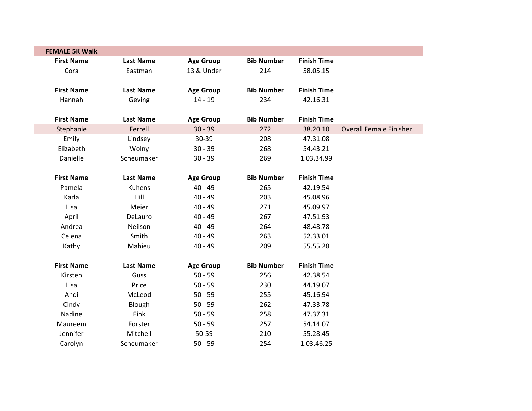| <b>FEMALE 5K Walk</b> |                  |                  |                   |                    |                                |
|-----------------------|------------------|------------------|-------------------|--------------------|--------------------------------|
| <b>First Name</b>     | <b>Last Name</b> | <b>Age Group</b> | <b>Bib Number</b> | <b>Finish Time</b> |                                |
| Cora                  | Eastman          | 13 & Under       | 214               | 58.05.15           |                                |
| <b>First Name</b>     | <b>Last Name</b> | <b>Age Group</b> | <b>Bib Number</b> | <b>Finish Time</b> |                                |
| Hannah                | Geving           | $14 - 19$        | 234               | 42.16.31           |                                |
| <b>First Name</b>     | <b>Last Name</b> | <b>Age Group</b> | <b>Bib Number</b> | <b>Finish Time</b> |                                |
| Stephanie             | Ferrell          | $30 - 39$        | 272               | 38.20.10           | <b>Overall Female Finisher</b> |
| Emily                 | Lindsey          | 30-39            | 208               | 47.31.08           |                                |
| Elizabeth             | Wolny            | $30 - 39$        | 268               | 54.43.21           |                                |
| Danielle              | Scheumaker       | $30 - 39$        | 269               | 1.03.34.99         |                                |
| <b>First Name</b>     | <b>Last Name</b> | <b>Age Group</b> | <b>Bib Number</b> | <b>Finish Time</b> |                                |
| Pamela                | <b>Kuhens</b>    | $40 - 49$        | 265               | 42.19.54           |                                |
| Karla                 | Hill             | $40 - 49$        | 203               | 45.08.96           |                                |
| Lisa                  | Meier            | $40 - 49$        | 271               | 45.09.97           |                                |
| April                 | DeLauro          | $40 - 49$        | 267               | 47.51.93           |                                |
| Andrea                | Neilson          | $40 - 49$        | 264               | 48.48.78           |                                |
| Celena                | Smith            | $40 - 49$        | 263               | 52.33.01           |                                |
| Kathy                 | Mahieu           | $40 - 49$        | 209               | 55.55.28           |                                |
| <b>First Name</b>     | <b>Last Name</b> | <b>Age Group</b> | <b>Bib Number</b> | <b>Finish Time</b> |                                |
| Kirsten               | Guss             | $50 - 59$        | 256               | 42.38.54           |                                |
| Lisa                  | Price            | $50 - 59$        | 230               | 44.19.07           |                                |
| Andi                  | McLeod           | $50 - 59$        | 255               | 45.16.94           |                                |
| Cindy                 | Blough           | $50 - 59$        | 262               | 47.33.78           |                                |
| Nadine                | Fink             | $50 - 59$        | 258               | 47.37.31           |                                |
| Maureem               | Forster          | $50 - 59$        | 257               | 54.14.07           |                                |
| Jennifer              | Mitchell         | 50-59            | 210               | 55.28.45           |                                |
| Carolyn               | Scheumaker       | $50 - 59$        | 254               | 1.03.46.25         |                                |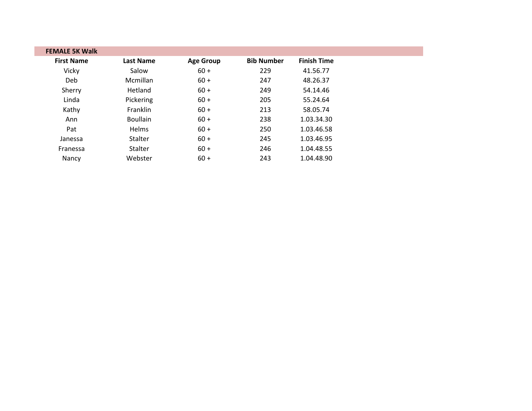| <b>FEMALE 5K Walk</b> |                  |                  |                   |                    |
|-----------------------|------------------|------------------|-------------------|--------------------|
| <b>First Name</b>     | <b>Last Name</b> | <b>Age Group</b> | <b>Bib Number</b> | <b>Finish Time</b> |
| Vicky                 | Salow            | $60 +$           | 229               | 41.56.77           |
| Deb                   | Mcmillan         | $60 +$           | 247               | 48.26.37           |
| Sherry                | Hetland          | $60 +$           | 249               | 54.14.46           |
| Linda                 | Pickering        | $60 +$           | 205               | 55.24.64           |
| Kathy                 | Franklin         | $60 +$           | 213               | 58.05.74           |
| Ann                   | <b>Boullain</b>  | $60 +$           | 238               | 1.03.34.30         |
| Pat                   | Helms            | $60 +$           | 250               | 1.03.46.58         |
| Janessa               | Stalter          | $60 +$           | 245               | 1.03.46.95         |
| Franessa              | Stalter          | $60 +$           | 246               | 1.04.48.55         |
| Nancy                 | Webster          | $60 +$           | 243               | 1.04.48.90         |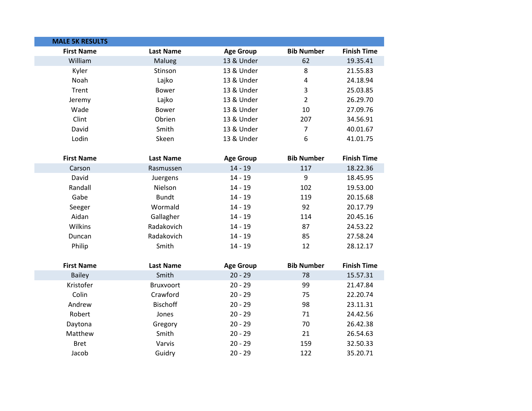| <b>MALE 5K RESULTS</b> |                  |                  |                   |                    |
|------------------------|------------------|------------------|-------------------|--------------------|
| <b>First Name</b>      | <b>Last Name</b> | <b>Age Group</b> | <b>Bib Number</b> | <b>Finish Time</b> |
| William                | Malueg           | 13 & Under       | 62                | 19.35.41           |
| Kyler                  | Stinson          | 13 & Under       | 8                 | 21.55.83           |
| Noah                   | Lajko            | 13 & Under       | 4                 | 24.18.94           |
| Trent                  | <b>Bower</b>     | 13 & Under       | 3                 | 25.03.85           |
| Jeremy                 | Lajko            | 13 & Under       | $\overline{2}$    | 26.29.70           |
| Wade                   | <b>Bower</b>     | 13 & Under       | 10                | 27.09.76           |
| Clint                  | Obrien           | 13 & Under       | 207               | 34.56.91           |
| David                  | Smith            | 13 & Under       | $\overline{7}$    | 40.01.67           |
| Lodin                  | Skeen            | 13 & Under       | 6                 | 41.01.75           |
| <b>First Name</b>      | <b>Last Name</b> | <b>Age Group</b> | <b>Bib Number</b> | <b>Finish Time</b> |
| Carson                 | Rasmussen        | $14 - 19$        | 117               | 18.22.36           |
| David                  | Juergens         | $14 - 19$        | 9                 | 18.45.95           |
| Randall                | Nielson          | $14 - 19$        | 102               | 19.53.00           |
| Gabe                   | <b>Bundt</b>     | $14 - 19$        | 119               | 20.15.68           |
| Seeger                 | Wormald          | $14 - 19$        | 92                | 20.17.79           |
| Aidan                  | Gallagher        | $14 - 19$        | 114               | 20.45.16           |
| Wilkins                | Radakovich       | $14 - 19$        | 87                | 24.53.22           |
| Duncan                 | Radakovich       | $14 - 19$        | 85                | 27.58.24           |
| Philip                 | Smith            | $14 - 19$        | 12                | 28.12.17           |
| <b>First Name</b>      | <b>Last Name</b> | <b>Age Group</b> | <b>Bib Number</b> | <b>Finish Time</b> |
| <b>Bailey</b>          | Smith            | $20 - 29$        | 78                | 15.57.31           |
| Kristofer              | Bruxvoort        | $20 - 29$        | 99                | 21.47.84           |
| Colin                  | Crawford         | $20 - 29$        | 75                | 22.20.74           |
| Andrew                 | <b>Bischoff</b>  | $20 - 29$        | 98                | 23.11.31           |
| Robert                 | Jones            | $20 - 29$        | 71                | 24.42.56           |
| Daytona                | Gregory          | $20 - 29$        | 70                | 26.42.38           |
| Matthew                | Smith            | $20 - 29$        | 21                | 26.54.63           |
| <b>Bret</b>            | Varvis           | $20 - 29$        | 159               | 32.50.33           |
| Jacob                  | Guidry           | $20 - 29$        | 122               | 35.20.71           |
|                        |                  |                  |                   |                    |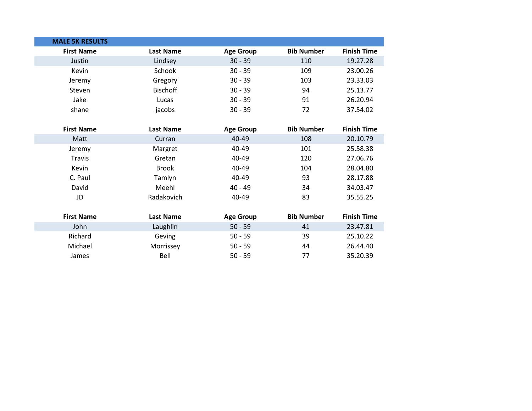| <b>MALE 5K RESULTS</b> |                  |                  |                   |                    |
|------------------------|------------------|------------------|-------------------|--------------------|
| <b>First Name</b>      | <b>Last Name</b> | <b>Age Group</b> | <b>Bib Number</b> | <b>Finish Time</b> |
| Justin                 | Lindsey          | $30 - 39$        | 110               | 19.27.28           |
| Kevin                  | Schook           | $30 - 39$        | 109               | 23.00.26           |
| Jeremy                 | Gregory          | $30 - 39$        | 103               | 23.33.03           |
| Steven                 | <b>Bischoff</b>  | $30 - 39$        | 94                | 25.13.77           |
| Jake                   | Lucas            | $30 - 39$        | 91                | 26.20.94           |
| shane                  | jacobs           | $30 - 39$        | 72                | 37.54.02           |
|                        |                  |                  |                   |                    |
| <b>First Name</b>      | <b>Last Name</b> | <b>Age Group</b> | <b>Bib Number</b> | <b>Finish Time</b> |
| Matt                   | Curran           | 40-49            | 108               | 20.10.79           |
| Jeremy                 | Margret          | 40-49            | 101               | 25.58.38           |
| <b>Travis</b>          | Gretan           | 40-49            | 120               | 27.06.76           |
| Kevin                  | <b>Brook</b>     | 40-49            | 104               | 28.04.80           |
| C. Paul                | Tamlyn           | 40-49            | 93                | 28.17.88           |
| David                  | Meehl            | $40 - 49$        | 34                | 34.03.47           |
| JD                     | Radakovich       | 40-49            | 83                | 35.55.25           |
|                        |                  |                  |                   |                    |
| <b>First Name</b>      | <b>Last Name</b> | <b>Age Group</b> | <b>Bib Number</b> | <b>Finish Time</b> |
| John                   | Laughlin         | $50 - 59$        | 41                | 23.47.81           |
| Richard                | Geving           | $50 - 59$        | 39                | 25.10.22           |
| Michael                | Morrissey        | $50 - 59$        | 44                | 26.44.40           |
| James                  | Bell             | $50 - 59$        | 77                | 35.20.39           |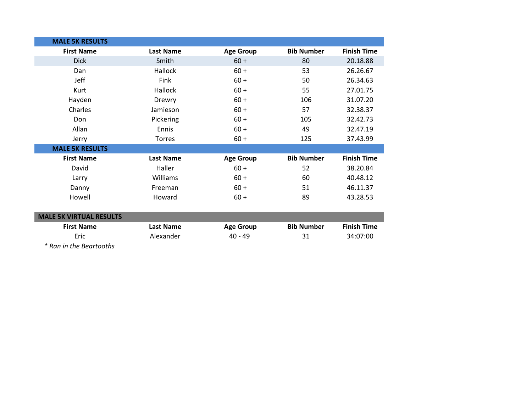| <b>MALE 5K RESULTS</b>         |                  |                  |                   |                    |
|--------------------------------|------------------|------------------|-------------------|--------------------|
| <b>First Name</b>              | <b>Last Name</b> | <b>Age Group</b> | <b>Bib Number</b> | <b>Finish Time</b> |
| <b>Dick</b>                    | Smith            | $60 +$           | 80                | 20.18.88           |
| Dan                            | Hallock          | $60 +$           | 53                | 26.26.67           |
| Jeff                           | Fink             | $60 +$           | 50                | 26.34.63           |
| Kurt                           | Hallock          | $60 +$           | 55                | 27.01.75           |
| Hayden                         | Drewry           | $60 +$           | 106               | 31.07.20           |
| Charles                        | Jamieson         | $60 +$           | 57                | 32.38.37           |
| Don                            | Pickering        | $60 +$           | 105               | 32.42.73           |
| Allan                          | Ennis            | $60 +$           | 49                | 32.47.19           |
| Jerry                          | Torres           | $60 +$           | 125               | 37.43.99           |
| <b>MALE 5K RESULTS</b>         |                  |                  |                   |                    |
| <b>First Name</b>              | <b>Last Name</b> | <b>Age Group</b> | <b>Bib Number</b> | <b>Finish Time</b> |
| David                          | Haller           | $60 +$           | 52                | 38.20.84           |
| Larry                          | Williams         | $60 +$           | 60                | 40.48.12           |
| Danny                          | Freeman          | $60 +$           | 51                | 46.11.37           |
| Howell                         | Howard           | $60 +$           | 89                | 43.28.53           |
|                                |                  |                  |                   |                    |
| <b>MALE 5K VIRTUAL RESULTS</b> |                  |                  |                   |                    |
| <b>First Name</b>              | <b>Last Name</b> | <b>Age Group</b> | <b>Bib Number</b> | <b>Finish Time</b> |
| Eric                           | Alexander        | $40 - 49$        | 31                | 34:07:00           |

*\* Ran in the Beartooths*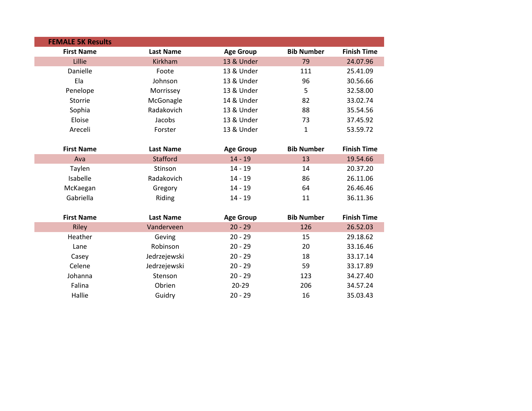| <b>FEMALE 5K Results</b> |                  |                  |                   |                    |
|--------------------------|------------------|------------------|-------------------|--------------------|
| <b>First Name</b>        | <b>Last Name</b> | <b>Age Group</b> | <b>Bib Number</b> | <b>Finish Time</b> |
| Lillie                   | Kirkham          | 13 & Under       | 79                | 24.07.96           |
| Danielle                 | Foote            | 13 & Under       | 111               | 25.41.09           |
| Ela                      | Johnson          | 13 & Under       | 96                | 30.56.66           |
| Penelope                 | Morrissey        | 13 & Under       | 5                 | 32.58.00           |
| Storrie                  | McGonagle        | 14 & Under       | 82                | 33.02.74           |
| Sophia                   | Radakovich       | 13 & Under       | 88                | 35.54.56           |
| Eloise                   | Jacobs           | 13 & Under       | 73                | 37.45.92           |
| Areceli                  | Forster          | 13 & Under       | 1                 | 53.59.72           |
|                          |                  |                  |                   |                    |
| <b>First Name</b>        | <b>Last Name</b> | <b>Age Group</b> | <b>Bib Number</b> | <b>Finish Time</b> |
| Ava                      | <b>Stafford</b>  | $14 - 19$        | 13                | 19.54.66           |
| Taylen                   | Stinson          | $14 - 19$        | 14                | 20.37.20           |
| Isabelle                 | Radakovich       | $14 - 19$        | 86                | 26.11.06           |
| McKaegan                 | Gregory          | $14 - 19$        | 64                | 26.46.46           |
| Gabriella                | Riding           | $14 - 19$        | 11                | 36.11.36           |
|                          |                  |                  |                   |                    |
| <b>First Name</b>        | <b>Last Name</b> | <b>Age Group</b> | <b>Bib Number</b> | <b>Finish Time</b> |
| <b>Riley</b>             | Vanderveen       | $20 - 29$        | 126               | 26.52.03           |
| Heather                  | Geving           | $20 - 29$        | 15                | 29.18.62           |
| Lane                     | Robinson         | $20 - 29$        | 20                | 33.16.46           |
| Casey                    | Jedrzejewski     | $20 - 29$        | 18                | 33.17.14           |
| Celene                   | Jedrzejewski     | $20 - 29$        | 59                | 33.17.89           |
| Johanna                  | Stenson          | $20 - 29$        | 123               | 34.27.40           |
| Falina                   | Obrien           | $20 - 29$        | 206               | 34.57.24           |
| Hallie                   | Guidry           | $20 - 29$        | 16                | 35.03.43           |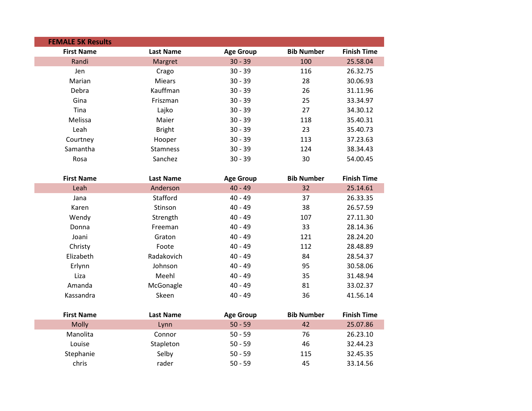| <b>FEMALE 5K Results</b> |                  |                  |                   |                    |
|--------------------------|------------------|------------------|-------------------|--------------------|
| <b>First Name</b>        | <b>Last Name</b> | <b>Age Group</b> | <b>Bib Number</b> | <b>Finish Time</b> |
| Randi                    | Margret          | $30 - 39$        | 100               | 25.58.04           |
| Jen                      | Crago            | $30 - 39$        | 116               | 26.32.75           |
| Marian                   | <b>Miears</b>    | $30 - 39$        | 28                | 30.06.93           |
| Debra                    | Kauffman         | $30 - 39$        | 26                | 31.11.96           |
| Gina                     | Friszman         | $30 - 39$        | 25                | 33.34.97           |
| Tina                     | Lajko            | $30 - 39$        | 27                | 34.30.12           |
| Melissa                  | Maier            | $30 - 39$        | 118               | 35.40.31           |
| Leah                     | <b>Bright</b>    | $30 - 39$        | 23                | 35.40.73           |
| Courtney                 | Hooper           | $30 - 39$        | 113               | 37.23.63           |
| Samantha                 | <b>Stamness</b>  | $30 - 39$        | 124               | 38.34.43           |
| Rosa                     | Sanchez          | $30 - 39$        | 30                | 54.00.45           |
|                          |                  |                  |                   |                    |
| <b>First Name</b>        | <b>Last Name</b> | <b>Age Group</b> | <b>Bib Number</b> | <b>Finish Time</b> |
| Leah                     | Anderson         | $40 - 49$        | 32                | 25.14.61           |
| Jana                     | Stafford         | $40 - 49$        | 37                | 26.33.35           |
| Karen                    | Stinson          | $40 - 49$        | 38                | 26.57.59           |
| Wendy                    | Strength         | $40 - 49$        | 107               | 27.11.30           |
| Donna                    | Freeman          | $40 - 49$        | 33                | 28.14.36           |
| Joani                    | Graton           | $40 - 49$        | 121               | 28.24.20           |
| Christy                  | Foote            | $40 - 49$        | 112               | 28.48.89           |
| Elizabeth                | Radakovich       | $40 - 49$        | 84                | 28.54.37           |
| Erlynn                   | Johnson          | $40 - 49$        | 95                | 30.58.06           |
| Liza                     | Meehl            | $40 - 49$        | 35                | 31.48.94           |
| Amanda                   | McGonagle        | $40 - 49$        | 81                | 33.02.37           |
| Kassandra                | Skeen            | $40 - 49$        | 36                | 41.56.14           |
|                          |                  |                  |                   |                    |
| <b>First Name</b>        | <b>Last Name</b> | <b>Age Group</b> | <b>Bib Number</b> | <b>Finish Time</b> |
| <b>Molly</b>             | Lynn             | $50 - 59$        | 42                | 25.07.86           |
| Manolita                 | Connor           | $50 - 59$        | 76                | 26.23.10           |
| Louise                   | Stapleton        | $50 - 59$        | 46                | 32.44.23           |
| Stephanie                | Selby            | $50 - 59$        | 115               | 32.45.35           |
| chris                    | rader            | $50 - 59$        | 45                | 33.14.56           |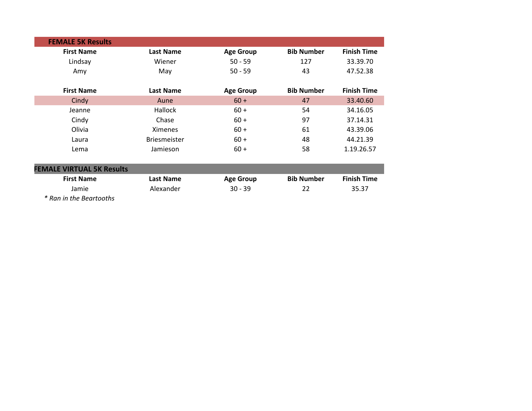| <b>FEMALE 5K Results</b>         |                     |                  |                   |                    |
|----------------------------------|---------------------|------------------|-------------------|--------------------|
| <b>First Name</b>                | <b>Last Name</b>    | <b>Age Group</b> | <b>Bib Number</b> | <b>Finish Time</b> |
| Lindsay                          | Wiener              | $50 - 59$        | 127               | 33.39.70           |
| Amy                              | May                 | $50 - 59$        | 43                | 47.52.38           |
| <b>First Name</b>                | <b>Last Name</b>    | <b>Age Group</b> | <b>Bib Number</b> | <b>Finish Time</b> |
| Cindy                            | Aune                | $60 +$           | 47                | 33.40.60           |
| Jeanne                           | <b>Hallock</b>      | $60 +$           | 54                | 34.16.05           |
| Cindy                            | Chase               | $60 +$           | 97                | 37.14.31           |
| Olivia                           | <b>Ximenes</b>      | $60 +$           | 61                | 43.39.06           |
| Laura                            | <b>Briesmeister</b> | $60 +$           | 48                | 44.21.39           |
| Lema                             | Jamieson            | $60 +$           | 58                | 1.19.26.57         |
| <b>FEMALE VIRTUAL 5K Results</b> |                     |                  |                   |                    |
| <b>First Name</b>                | <b>Last Name</b>    | <b>Age Group</b> | <b>Bib Number</b> | <b>Finish Time</b> |
| Jamie                            | Alexander           | $30 - 39$        | 22                | 35.37              |
| * Ran in the Beartooths          |                     |                  |                   |                    |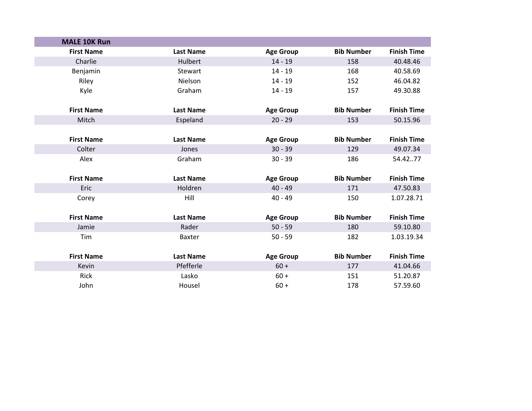| <b>MALE 10K Run</b> |                  |                  |                   |                    |
|---------------------|------------------|------------------|-------------------|--------------------|
| <b>First Name</b>   | <b>Last Name</b> | <b>Age Group</b> | <b>Bib Number</b> | <b>Finish Time</b> |
| Charlie             | Hulbert          | $14 - 19$        | 158               | 40.48.46           |
| Benjamin            | Stewart          | $14 - 19$        | 168               | 40.58.69           |
| Riley               | Nielson          | $14 - 19$        | 152               | 46.04.82           |
| Kyle                | Graham           | $14 - 19$        | 157               | 49.30.88           |
|                     |                  |                  |                   |                    |
| <b>First Name</b>   | <b>Last Name</b> | <b>Age Group</b> | <b>Bib Number</b> | <b>Finish Time</b> |
| Mitch               | Espeland         | $20 - 29$        | 153               | 50.15.96           |
|                     |                  |                  |                   |                    |
| <b>First Name</b>   | <b>Last Name</b> | <b>Age Group</b> | <b>Bib Number</b> | <b>Finish Time</b> |
| Colter              | Jones            | $30 - 39$        | 129               | 49.07.34           |
| Alex                | Graham           | $30 - 39$        | 186               | 54.4277            |
|                     |                  |                  |                   |                    |
| <b>First Name</b>   | <b>Last Name</b> | <b>Age Group</b> | <b>Bib Number</b> | <b>Finish Time</b> |
| Eric                | Holdren          | $40 - 49$        | 171               | 47.50.83           |
| Corey               | Hill             | $40 - 49$        | 150               | 1.07.28.71         |
|                     |                  |                  |                   |                    |
| <b>First Name</b>   | <b>Last Name</b> | <b>Age Group</b> | <b>Bib Number</b> | <b>Finish Time</b> |
| Jamie               | Rader            | $50 - 59$        | 180               | 59.10.80           |
| Tim                 | <b>Baxter</b>    | $50 - 59$        | 182               | 1.03.19.34         |
|                     |                  |                  |                   |                    |
| <b>First Name</b>   | <b>Last Name</b> | <b>Age Group</b> | <b>Bib Number</b> | <b>Finish Time</b> |
| Kevin               | Pfefferle        | $60 +$           | 177               | 41.04.66           |
| Rick                | Lasko            | $60 +$           | 151               | 51.20.87           |
| John                | Housel           | $60 +$           | 178               | 57.59.60           |
|                     |                  |                  |                   |                    |